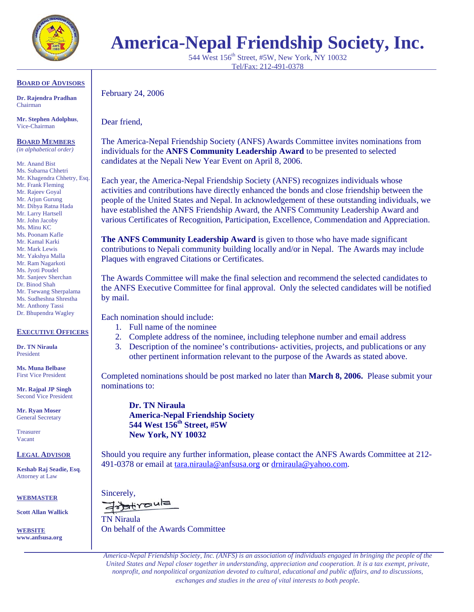

# **America-Nepal Friendship Society, Inc.**

544 West 156<sup>th</sup> Street, #5W, New York, NY 10032 Tel/Fax: 212-491-0378

### **BOARD OF ADVISORS**

**Dr. Rajendra Pradhan**  Chairman

**Mr. Stephen Adolphus**, Vice-Chairman

**BOARD MEMBERS** *(in alphabetical order)* 

Mr. Anand Bist Ms. Subarna Chhetri Mr. Khagendra Chhetry, Esq. Mr. Frank Fleming Mr. Rajeev Goyal Mr. Arjun Gurung Mr. Dibya Ratna Hada Mr. Larry Hartsell Mr. John Jacoby Ms. Minu KC Ms. Poonam Kafle Mr. Kamal Karki Mr. Mark Lewis Mr. Yakshya Malla Mr. Ram Nagarkoti Ms. Jyoti Poudel

Mr. Sanjeev Sherchan

Dr. Binod Shah

Mr. Tsewang Sherpalama

Ms. Sudheshna Shrestha Mr. Anthony Tassi

Dr. Bhupendra Wagley

## **EXECUTIVE OFFICERS**

**Dr. TN Niraula**  President

**Ms. Muna Belbase**  First Vice President

**Mr. Rajpal JP Singh**  Second Vice President

**Mr. Ryan Moser**  General Secretary

Treasurer Vacant

**LEGAL ADVISOR**

**Keshab Raj Seadie, Esq**. Attorney at Law

#### **WEBMASTER**

**Scott Allan Wallick** 

**WEBSITE www.anfsusa.org**  February 24, 2006

Dear friend,

The America-Nepal Friendship Society (ANFS) Awards Committee invites nominations from individuals for the **ANFS Community Leadership Award** to be presented to selected candidates at the Nepali New Year Event on April 8, 2006.

Each year, the America-Nepal Friendship Society (ANFS) recognizes individuals whose activities and contributions have directly enhanced the bonds and close friendship between the people of the United States and Nepal. In acknowledgement of these outstanding individuals, we have established the ANFS Friendship Award, the ANFS Community Leadership Award and various Certificates of Recognition, Participation, Excellence, Commendation and Appreciation.

**The ANFS Community Leadership Award** is given to those who have made significant contributions to Nepali community building locally and/or in Nepal. The Awards may include Plaques with engraved Citations or Certificates.

The Awards Committee will make the final selection and recommend the selected candidates to the ANFS Executive Committee for final approval. Only the selected candidates will be notified by mail.

Each nomination should include:

- 1. Full name of the nominee
- 2. Complete address of the nominee, including telephone number and email address
- 3. Description of the nominee's contributions- activities, projects, and publications or any other pertinent information relevant to the purpose of the Awards as stated above.

Completed nominations should be post marked no later than **March 8, 2006.** Please submit your nominations to:

**Dr. TN Niraula America-Nepal Friendship Society 544 West 156th Street, #5W New York, NY 10032** 

Should you require any further information, please contact the ANFS Awards Committee at 212- 491-0378 or email at [tara.niraula@anfsusa.org](mailto:tara.niraula@anfsusa.org) or [drniraula@yahoo.com.](mailto:drniraula@yahoo.com)

 $Sineerely,$ 

TN Niraula On behalf of the Awards Committee

*America-Nepal Friendship Society, Inc. (ANFS) is an association of individuals engaged in bringing the people of the United States and Nepal closer together in understanding, appreciation and cooperation. It is a tax exempt, private, nonprofit, and nonpolitical organization devoted to cultural, educational and public affairs, and to discussions, exchanges and studies in the area of vital interests to both people.*